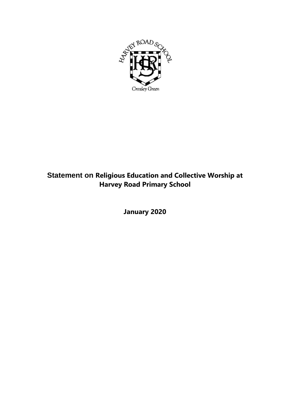

## **Statement on Religious Education and Collective Worship at Harvey Road Primary School**

**January 2020**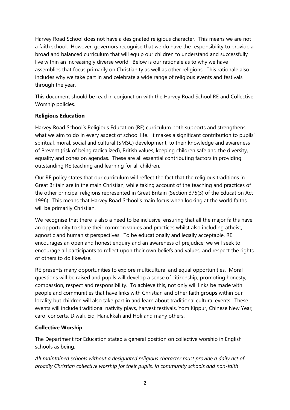Harvey Road School does not have a designated religious character. This means we are not a faith school. However, governors recognise that we do have the responsibility to provide a broad and balanced curriculum that will equip our children to understand and successfully live within an increasingly diverse world. Below is our rationale as to why we have assemblies that focus primarily on Christianity as well as other religions. This rationale also includes why we take part in and celebrate a wide range of religious events and festivals through the year.

This document should be read in conjunction with the Harvey Road School RE and Collective Worship policies.

## **Religious Education**

Harvey Road School's Religious Education (RE) curriculum both supports and strengthens what we aim to do in every aspect of school life. It makes a significant contribution to pupils' spiritual, moral, social and cultural (SMSC) development; to their knowledge and awareness of Prevent (risk of being radicalized), British values, keeping children safe and the diversity, equality and cohesion agendas. These are all essential contributing factors in providing outstanding RE teaching and learning for all children.

Our RE policy states that our curriculum will reflect the fact that the religious traditions in Great Britain are in the main Christian, while taking account of the teaching and practices of the other principal religions represented in Great Britain (Section 375(3) of the Education Act 1996). This means that Harvey Road School's main focus when looking at the world faiths will be primarily Christian.

We recognise that there is also a need to be inclusive, ensuring that all the major faiths have an opportunity to share their common values and practices whilst also including atheist, agnostic and humanist perspectives. To be educationally and legally acceptable, RE encourages an open and honest enquiry and an awareness of prejudice; we will seek to encourage all participants to reflect upon their own beliefs and values, and respect the rights of others to do likewise.

RE presents many opportunities to explore multicultural and equal opportunities. Moral questions will be raised and pupils will develop a sense of citizenship, promoting honesty, compassion, respect and responsibility. To achieve this, not only will links be made with people and communities that have links with Christian and other faith groups within our locality but children will also take part in and learn about traditional cultural events. These events will include traditional nativity plays, harvest festivals, Yom Kippur, Chinese New Year, carol concerts, Diwali, Eid, Hanukkah and Holi and many others.

## **Collective Worship**

The Department for Education stated a general position on collective worship in English schools as being:

*All maintained schools without a designated religious character must provide a daily act of broadly Christian collective worship for their pupils. In community schools and non-faith*